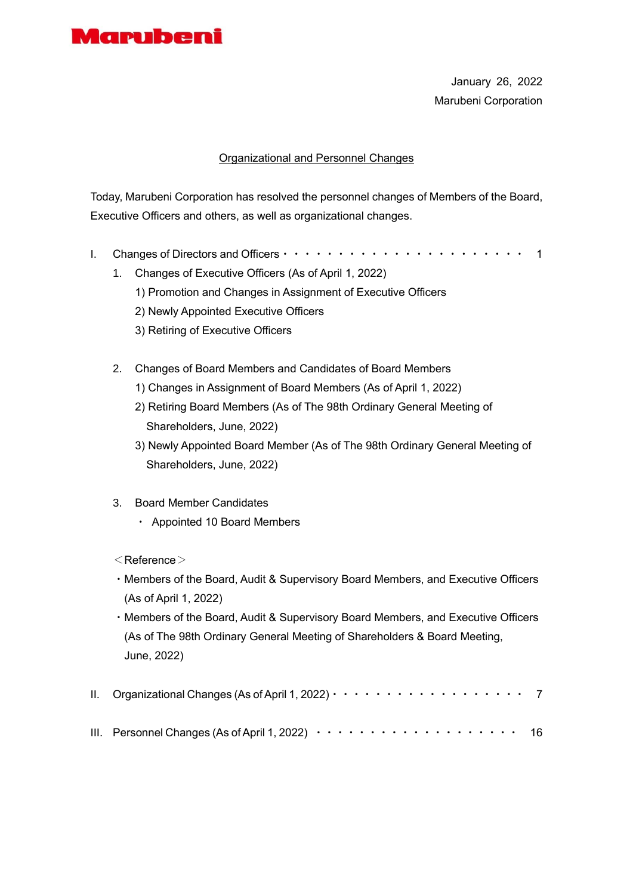

January 26, 2022 Marubeni Corporation

### Organizational and Personnel Changes

Today, Marubeni Corporation has resolved the personnel changes of Members of the Board, Executive Officers and others, as well as organizational changes.

- I. Changes of Directors and Officers・・・・・・・・・・・・・・・・・・・・・・ 1
	- 1. Changes of Executive Officers (As of April 1, 2022)
		- 1) Promotion and Changes in Assignment of Executive Officers
		- 2) Newly Appointed Executive Officers
		- 3) Retiring of Executive Officers
	- 2. Changes of Board Members and Candidates of Board Members
		- 1) Changes in Assignment of Board Members (As of April 1, 2022)
		- 2) Retiring Board Members (As of The 98th Ordinary General Meeting of Shareholders, June, 2022)
		- 3) Newly Appointed Board Member (As of The 98th Ordinary General Meeting of Shareholders, June, 2022)
	- 3. Board Member Candidates
		- ・ Appointed 10 Board Members
	- $<$ Reference $>$
	- ・Members of the Board, Audit & Supervisory Board Members, and Executive Officers (As of April 1, 2022)
	- ・Members of the Board, Audit & Supervisory Board Members, and Executive Officers (As of The 98th Ordinary General Meeting of Shareholders & Board Meeting, June, 2022)

| II. Organizational Changes (As of April 1, 2022) $\cdots \cdots \cdots \cdots \cdots \cdots$       |  |
|----------------------------------------------------------------------------------------------------|--|
| III. Personnel Changes (As of April 1, 2022) $\cdots \cdots \cdots \cdots \cdots \cdots \cdots$ 16 |  |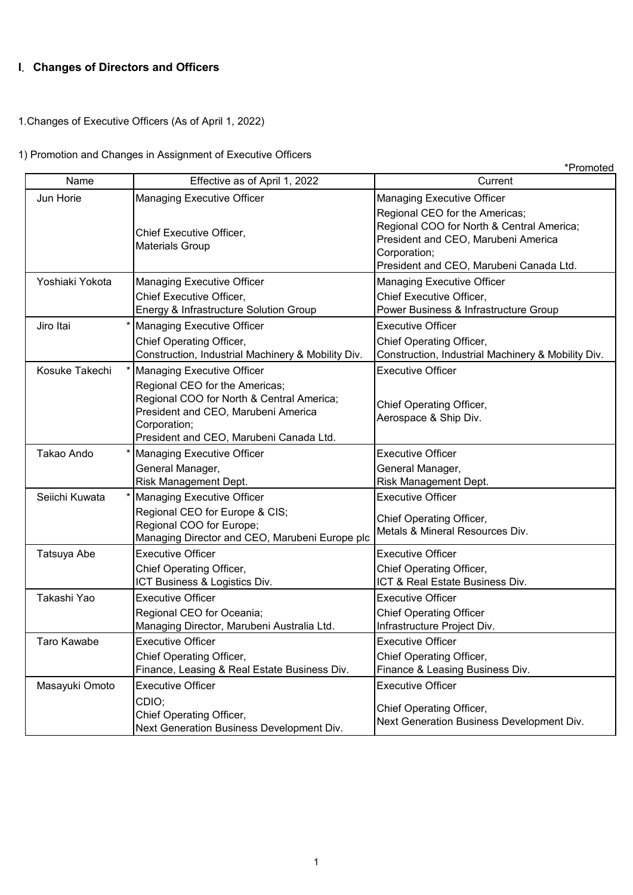# **I**. **Changes of Directors and Officers**

1.Changes of Executive Officers (As of April 1, 2022)

# 1) Promotion and Changes in Assignment of Executive Officers

|                 |                                                                                                                                                                                                                    | *Promoted                                                                                                                                                                                                          |
|-----------------|--------------------------------------------------------------------------------------------------------------------------------------------------------------------------------------------------------------------|--------------------------------------------------------------------------------------------------------------------------------------------------------------------------------------------------------------------|
| Name            | Effective as of April 1, 2022                                                                                                                                                                                      | Current                                                                                                                                                                                                            |
| Jun Horie       | <b>Managing Executive Officer</b><br>Chief Executive Officer,<br><b>Materials Group</b>                                                                                                                            | <b>Managing Executive Officer</b><br>Regional CEO for the Americas;<br>Regional COO for North & Central America;<br>President and CEO, Marubeni America<br>Corporation;<br>President and CEO, Marubeni Canada Ltd. |
| Yoshiaki Yokota | <b>Managing Executive Officer</b><br>Chief Executive Officer,<br>Energy & Infrastructure Solution Group                                                                                                            | <b>Managing Executive Officer</b><br>Chief Executive Officer,<br>Power Business & Infrastructure Group                                                                                                             |
| Jiro Itai       | <b>Managing Executive Officer</b><br>Chief Operating Officer,<br>Construction, Industrial Machinery & Mobility Div.                                                                                                | <b>Executive Officer</b><br>Chief Operating Officer,<br>Construction, Industrial Machinery & Mobility Div.                                                                                                         |
| Kosuke Takechi  | <b>Managing Executive Officer</b><br>Regional CEO for the Americas;<br>Regional COO for North & Central America;<br>President and CEO, Marubeni America<br>Corporation;<br>President and CEO, Marubeni Canada Ltd. | <b>Executive Officer</b><br>Chief Operating Officer,<br>Aerospace & Ship Div.                                                                                                                                      |
| Takao Ando      | <b>Managing Executive Officer</b><br>General Manager,<br>Risk Management Dept.                                                                                                                                     | <b>Executive Officer</b><br>General Manager,<br>Risk Management Dept.                                                                                                                                              |
| Seiichi Kuwata  | <b>Managing Executive Officer</b><br>Regional CEO for Europe & CIS;<br>Regional COO for Europe;<br>Managing Director and CEO, Marubeni Europe plc                                                                  | <b>Executive Officer</b><br>Chief Operating Officer,<br>Metals & Mineral Resources Div.                                                                                                                            |
| Tatsuya Abe     | <b>Executive Officer</b><br>Chief Operating Officer,<br>ICT Business & Logistics Div.                                                                                                                              | <b>Executive Officer</b><br>Chief Operating Officer,<br>ICT & Real Estate Business Div.                                                                                                                            |
| Takashi Yao     | <b>Executive Officer</b><br>Regional CEO for Oceania;<br>Managing Director, Marubeni Australia Ltd.                                                                                                                | <b>Executive Officer</b><br><b>Chief Operating Officer</b><br>Infrastructure Project Div.                                                                                                                          |
| Taro Kawabe     | <b>Executive Officer</b><br>Chief Operating Officer,<br>Finance, Leasing & Real Estate Business Div.                                                                                                               | Executive Officer<br>Chief Operating Officer,<br>Finance & Leasing Business Div.                                                                                                                                   |
| Masayuki Omoto  | <b>Executive Officer</b><br>CDIO;<br>Chief Operating Officer,<br>Next Generation Business Development Div.                                                                                                         | <b>Executive Officer</b><br>Chief Operating Officer,<br>Next Generation Business Development Div.                                                                                                                  |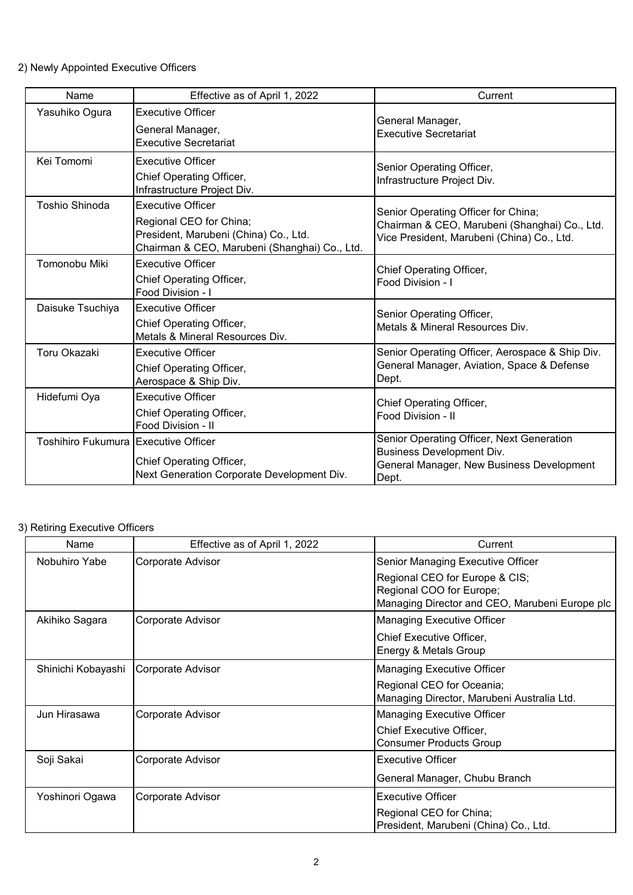### 2) Newly Appointed Executive Officers

| Name                                         | Effective as of April 1, 2022                                                                                                                 | Current                                                                                                                            |  |
|----------------------------------------------|-----------------------------------------------------------------------------------------------------------------------------------------------|------------------------------------------------------------------------------------------------------------------------------------|--|
| Yasuhiko Ogura                               | <b>Executive Officer</b><br>General Manager,<br><b>Executive Secretariat</b>                                                                  | General Manager,<br><b>Executive Secretariat</b>                                                                                   |  |
| Kei Tomomi                                   | <b>Executive Officer</b><br>Chief Operating Officer,<br>Infrastructure Project Div.                                                           | Senior Operating Officer,<br>Infrastructure Project Div.                                                                           |  |
| <b>Toshio Shinoda</b>                        | <b>Executive Officer</b><br>Regional CEO for China;<br>President, Marubeni (China) Co., Ltd.<br>Chairman & CEO, Marubeni (Shanghai) Co., Ltd. | Senior Operating Officer for China;<br>Chairman & CEO, Marubeni (Shanghai) Co., Ltd.<br>Vice President, Marubeni (China) Co., Ltd. |  |
| Tomonobu Miki                                | <b>Executive Officer</b><br>Chief Operating Officer,<br>Food Division - I                                                                     | Chief Operating Officer,<br>Food Division - I                                                                                      |  |
| Daisuke Tsuchiya                             | <b>Executive Officer</b><br>Chief Operating Officer,<br>Metals & Mineral Resources Div.                                                       | Senior Operating Officer,<br>Metals & Mineral Resources Div.                                                                       |  |
| <b>Toru Okazaki</b>                          | <b>Executive Officer</b><br>Chief Operating Officer,<br>Aerospace & Ship Div.                                                                 | Senior Operating Officer, Aerospace & Ship Div.<br>General Manager, Aviation, Space & Defense<br>Dept.                             |  |
| Hidefumi Oya                                 | <b>Executive Officer</b><br>Chief Operating Officer,<br>Food Division - II                                                                    | Chief Operating Officer,<br>Food Division - II                                                                                     |  |
| <b>Toshihiro Fukumura IExecutive Officer</b> | Chief Operating Officer,<br>Next Generation Corporate Development Div.                                                                        | Senior Operating Officer, Next Generation<br>Business Development Div.<br>General Manager, New Business Development<br>Dept.       |  |

# 3) Retiring Executive Officers

| Name               | Effective as of April 1, 2022 | Current                                        |
|--------------------|-------------------------------|------------------------------------------------|
| Nobuhiro Yabe      | Corporate Advisor             | Senior Managing Executive Officer              |
|                    |                               | Regional CEO for Europe & CIS;                 |
|                    |                               | Regional COO for Europe;                       |
|                    |                               | Managing Director and CEO, Marubeni Europe plc |
| Akihiko Sagara     | Corporate Advisor             | <b>Managing Executive Officer</b>              |
|                    |                               | Chief Executive Officer,                       |
|                    |                               | Energy & Metals Group                          |
| Shinichi Kobayashi | Corporate Advisor             | <b>Managing Executive Officer</b>              |
|                    |                               | Regional CEO for Oceania;                      |
|                    |                               | Managing Director, Marubeni Australia Ltd.     |
| Jun Hirasawa       | Corporate Advisor             | <b>Managing Executive Officer</b>              |
|                    |                               | Chief Executive Officer,                       |
|                    |                               | Consumer Products Group                        |
| Soji Sakai         | Corporate Advisor             | <b>Executive Officer</b>                       |
|                    |                               | General Manager, Chubu Branch                  |
| Yoshinori Ogawa    | Corporate Advisor             | <b>Executive Officer</b>                       |
|                    |                               | Regional CEO for China;                        |
|                    |                               | President, Marubeni (China) Co., Ltd.          |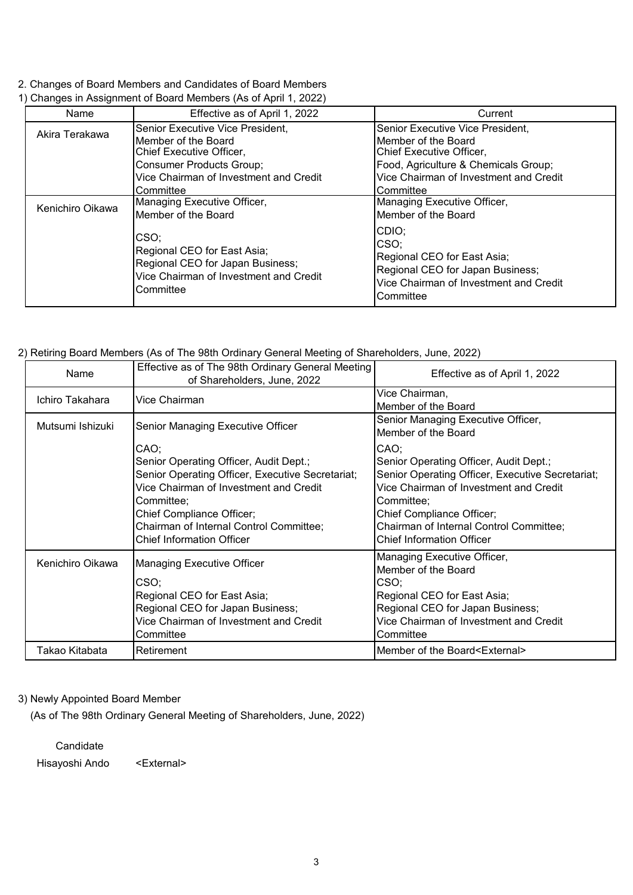### 2. Changes of Board Members and Candidates of Board Members

| Name             | Effective as of April 1, 2022                                                                                                  | Current                                                                                                                                 |
|------------------|--------------------------------------------------------------------------------------------------------------------------------|-----------------------------------------------------------------------------------------------------------------------------------------|
| Akira Terakawa   | Senior Executive Vice President,                                                                                               | Senior Executive Vice President,                                                                                                        |
|                  | Member of the Board<br>Chief Executive Officer,                                                                                | Member of the Board<br>Chief Executive Officer,                                                                                         |
|                  | <b>Consumer Products Group;</b>                                                                                                | Food, Agriculture & Chemicals Group;                                                                                                    |
|                  | Vice Chairman of Investment and Credit                                                                                         | Vice Chairman of Investment and Credit                                                                                                  |
|                  | Committee                                                                                                                      | Committee                                                                                                                               |
| Kenichiro Oikawa | Managing Executive Officer,                                                                                                    | Managing Executive Officer,                                                                                                             |
|                  | Member of the Board                                                                                                            | Member of the Board                                                                                                                     |
|                  | CSO;<br>Regional CEO for East Asia;<br>Regional CEO for Japan Business;<br>Vice Chairman of Investment and Credit<br>Committee | CDIO:<br>CSO:<br>Regional CEO for East Asia;<br>Regional CEO for Japan Business;<br>Vice Chairman of Investment and Credit<br>Committee |

### 1) Changes in Assignment of Board Members (As of April 1, 2022)

### 2) Retiring Board Members (As of The 98th Ordinary General Meeting of Shareholders, June, 2022)

| Name             | Effective as of The 98th Ordinary General Meeting<br>of Shareholders, June, 2022                                                                                                                                                                                | Effective as of April 1, 2022                                                                                                                                                                                                                                          |  |
|------------------|-----------------------------------------------------------------------------------------------------------------------------------------------------------------------------------------------------------------------------------------------------------------|------------------------------------------------------------------------------------------------------------------------------------------------------------------------------------------------------------------------------------------------------------------------|--|
| Ichiro Takahara  | Vice Chairman                                                                                                                                                                                                                                                   | Vice Chairman,<br>Member of the Board                                                                                                                                                                                                                                  |  |
| Mutsumi Ishizuki | Senior Managing Executive Officer                                                                                                                                                                                                                               | Senior Managing Executive Officer,<br>Member of the Board                                                                                                                                                                                                              |  |
|                  | CAO;<br>Senior Operating Officer, Audit Dept.;<br>Senior Operating Officer, Executive Secretariat;<br>Vice Chairman of Investment and Credit<br>Committee;<br>Chief Compliance Officer;<br>Chairman of Internal Control Committee;<br>Chief Information Officer | CAO;<br>Senior Operating Officer, Audit Dept.;<br>Senior Operating Officer, Executive Secretariat;<br>Vice Chairman of Investment and Credit<br>Committee;<br>Chief Compliance Officer;<br>Chairman of Internal Control Committee;<br><b>Chief Information Officer</b> |  |
| Kenichiro Oikawa | Managing Executive Officer<br>CSO;<br>Regional CEO for East Asia;<br>Regional CEO for Japan Business;<br>Vice Chairman of Investment and Credit<br>Committee                                                                                                    | Managing Executive Officer,<br>Member of the Board<br>CSO;<br>Regional CEO for East Asia;<br>Regional CEO for Japan Business;<br>Vice Chairman of Investment and Credit<br>Committee                                                                                   |  |
| Takao Kitabata   | Retirement                                                                                                                                                                                                                                                      | Member of the Board <external></external>                                                                                                                                                                                                                              |  |

### 3) Newly Appointed Board Member

(As of The 98th Ordinary General Meeting of Shareholders, June, 2022)

**Candidate** 

Hisayoshi Ando <External>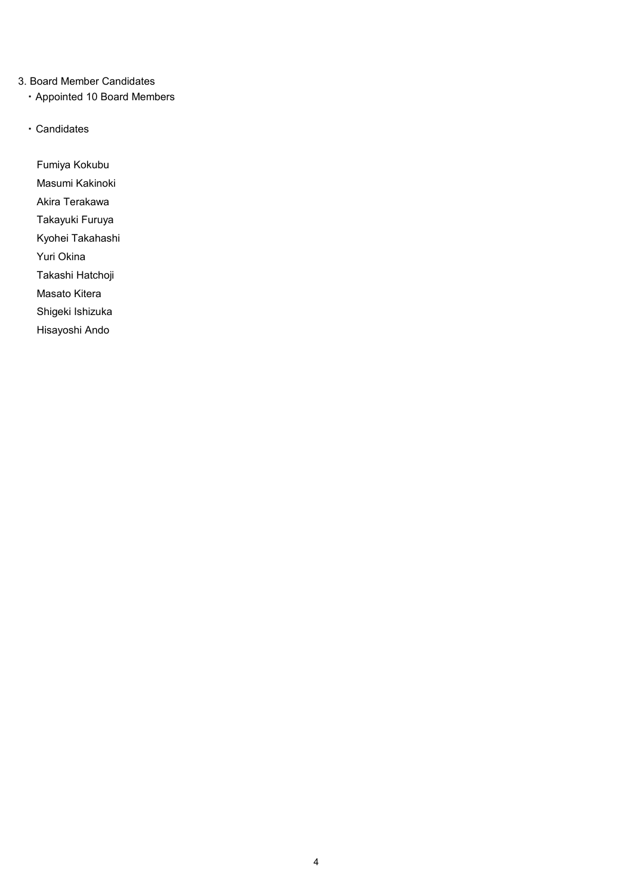### 3. Board Member Candidates

- ・ Appointed 10 Board Members
- ・ Candidates

Fumiya Kokubu Masumi Kakinoki Akira Terakawa Takayuki Furuya Kyohei Takahashi Yuri Okina Takashi Hatchoji Masato Kitera

Shigeki Ishizuka

Hisayoshi Ando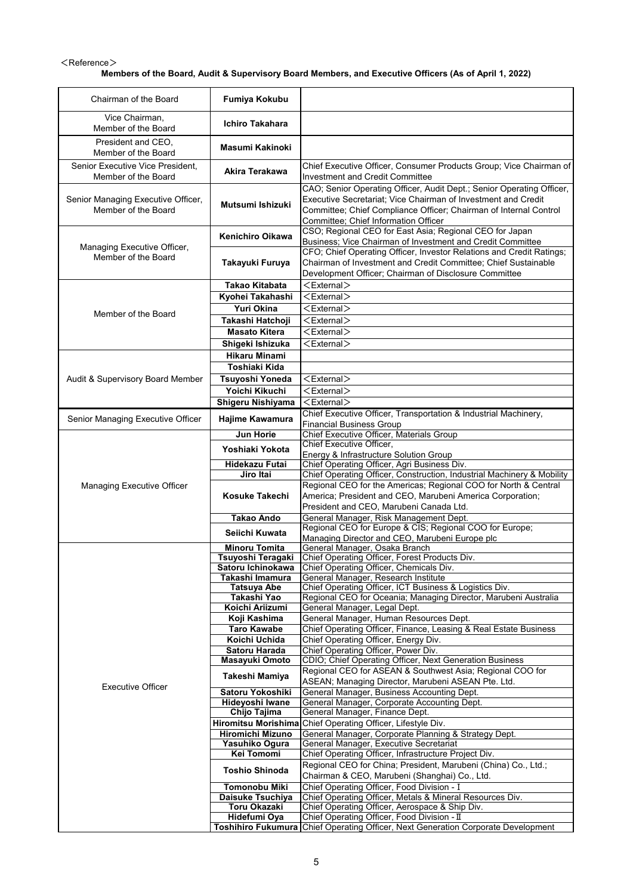#### $<$ Reference $>$ **Members of the Board, Audit & Supervisory Board Members, and Executive Officers (As of April 1, 2022)**

| Chairman of the Board                                     | Fumiya Kokubu                            |                                                                                                                                                                                                                                                     |
|-----------------------------------------------------------|------------------------------------------|-----------------------------------------------------------------------------------------------------------------------------------------------------------------------------------------------------------------------------------------------------|
| Vice Chairman,<br>Member of the Board                     | <b>Ichiro Takahara</b>                   |                                                                                                                                                                                                                                                     |
| President and CEO.<br>Member of the Board                 | <b>Masumi Kakinoki</b>                   |                                                                                                                                                                                                                                                     |
| Senior Executive Vice President.<br>Member of the Board   | Akira Terakawa                           | Chief Executive Officer, Consumer Products Group; Vice Chairman of<br>Investment and Credit Committee                                                                                                                                               |
| Senior Managing Executive Officer,<br>Member of the Board | Mutsumi Ishizuki                         | CAO; Senior Operating Officer, Audit Dept.; Senior Operating Officer,<br>Executive Secretariat; Vice Chairman of Investment and Credit<br>Committee; Chief Compliance Officer; Chairman of Internal Control<br>Committee; Chief Information Officer |
| Managing Executive Officer,                               | <b>Kenichiro Oikawa</b>                  | CSO; Regional CEO for East Asia; Regional CEO for Japan<br>Business; Vice Chairman of Investment and Credit Committee                                                                                                                               |
| Member of the Board                                       | Takayuki Furuya                          | CFO; Chief Operating Officer, Investor Relations and Credit Ratings;<br>Chairman of Investment and Credit Committee; Chief Sustainable<br>Development Officer; Chairman of Disclosure Committee                                                     |
|                                                           | Takao Kitabata                           | $<$ External $>$                                                                                                                                                                                                                                    |
|                                                           | Kyohei Takahashi                         | $<$ External $>$                                                                                                                                                                                                                                    |
| Member of the Board                                       | Yuri Okina                               | <external></external>                                                                                                                                                                                                                               |
|                                                           | Takashi Hatchoji<br><b>Masato Kitera</b> | <external><br/><math>&lt;</math>External<math>&gt;</math></external>                                                                                                                                                                                |
|                                                           | Shigeki Ishizuka                         | $<$ External $>$                                                                                                                                                                                                                                    |
|                                                           | <b>Hikaru Minami</b>                     |                                                                                                                                                                                                                                                     |
|                                                           | <b>Toshiaki Kida</b>                     |                                                                                                                                                                                                                                                     |
| Audit & Supervisory Board Member                          | Tsuyoshi Yoneda                          | $<$ External $>$                                                                                                                                                                                                                                    |
|                                                           | Yoichi Kikuchi                           | $<$ External $>$                                                                                                                                                                                                                                    |
|                                                           | Shigeru Nishiyama                        | $<$ External $>$                                                                                                                                                                                                                                    |
| Senior Managing Executive Officer                         | Hajime Kawamura                          | Chief Executive Officer, Transportation & Industrial Machinery,                                                                                                                                                                                     |
|                                                           | <b>Jun Horie</b>                         | <b>Financial Business Group</b><br>Chief Executive Officer, Materials Group                                                                                                                                                                         |
|                                                           |                                          | Chief Executive Officer,                                                                                                                                                                                                                            |
|                                                           | Yoshiaki Yokota                          | Energy & Infrastructure Solution Group                                                                                                                                                                                                              |
|                                                           | <b>Hidekazu Futai</b><br>Jiro Itai       | Chief Operating Officer, Agri Business Div.<br>Chief Operating Officer, Construction, Industrial Machinery & Mobility                                                                                                                               |
| Managing Executive Officer                                |                                          | Regional CEO for the Americas; Regional COO for North & Central                                                                                                                                                                                     |
|                                                           | Kosuke Takechi                           | America; President and CEO, Marubeni America Corporation;<br>President and CEO, Marubeni Canada Ltd.                                                                                                                                                |
|                                                           | <b>Takao Ando</b>                        | General Manager, Risk Management Dept.                                                                                                                                                                                                              |
|                                                           | Seiichi Kuwata                           | Regional CEO for Europe & CIS; Regional COO for Europe;                                                                                                                                                                                             |
|                                                           | <b>Minoru Tomita</b>                     | Managing Director and CEO, Marubeni Europe plc                                                                                                                                                                                                      |
|                                                           | Tsuyoshi Teragaki                        | General Manager, Osaka Branch<br>Chief Operating Officer, Forest Products Div.                                                                                                                                                                      |
|                                                           | Satoru Ichinokawa                        | Chief Operating Officer, Chemicals Div.                                                                                                                                                                                                             |
|                                                           | Takashi Imamura                          | General Manager, Research Institute                                                                                                                                                                                                                 |
|                                                           | <b>Tatsuya Abe</b><br>Takashi Yao        | Chief Operating Officer, ICT Business & Logistics Div.<br>Regional CEO for Oceania; Managing Director, Marubeni Australia                                                                                                                           |
|                                                           | Koichi Ariizumi                          | General Manager, Legal Dept.                                                                                                                                                                                                                        |
|                                                           | Koji Kashima                             | General Manager, Human Resources Dept.                                                                                                                                                                                                              |
|                                                           | <b>Taro Kawabe</b>                       | Chief Operating Officer, Finance, Leasing & Real Estate Business                                                                                                                                                                                    |
|                                                           | Koichi Uchida<br>Satoru Harada           | Chief Operating Officer, Energy Div.<br>Chief Operating Officer, Power Div.                                                                                                                                                                         |
|                                                           | Masayuki Omoto                           | CDIO; Chief Operating Officer, Next Generation Business                                                                                                                                                                                             |
|                                                           | Takeshi Mamiya                           | Regional CEO for ASEAN & Southwest Asia; Regional COO for                                                                                                                                                                                           |
| <b>Executive Officer</b>                                  |                                          | ASEAN; Managing Director, Marubeni ASEAN Pte. Ltd.                                                                                                                                                                                                  |
|                                                           | Satoru Yokoshiki<br>Hideyoshi Iwane      | General Manager, Business Accounting Dept.<br>General Manager, Corporate Accounting Dept.                                                                                                                                                           |
|                                                           | Chijo Tajima                             | General Manager, Finance Dept.                                                                                                                                                                                                                      |
|                                                           | <b>Hiromitsu Morishima</b>               | Chief Operating Officer, Lifestyle Div.                                                                                                                                                                                                             |
|                                                           | <b>Hiromichi Mizuno</b>                  | General Manager, Corporate Planning & Strategy Dept.<br>General Manager, Executive Secretariat                                                                                                                                                      |
|                                                           | Yasuhiko Ogura<br>Kei Tomomi             | Chief Operating Officer, Infrastructure Project Div.                                                                                                                                                                                                |
|                                                           | <b>Toshio Shinoda</b>                    | Regional CEO for China; President, Marubeni (China) Co., Ltd.;<br>Chairman & CEO, Marubeni (Shanghai) Co., Ltd.                                                                                                                                     |
|                                                           | Tomonobu Miki                            | Chief Operating Officer, Food Division - I                                                                                                                                                                                                          |
|                                                           | Daisuke Tsuchiya                         | Chief Operating Officer, Metals & Mineral Resources Div.                                                                                                                                                                                            |
|                                                           | Toru Okazaki                             | Chief Operating Officer, Aerospace & Ship Div.                                                                                                                                                                                                      |
|                                                           | Hidefumi Oya                             | Chief Operating Officer, Food Division - II<br>Toshihiro Fukumura Chief Operating Officer, Next Generation Corporate Development                                                                                                                    |
|                                                           |                                          |                                                                                                                                                                                                                                                     |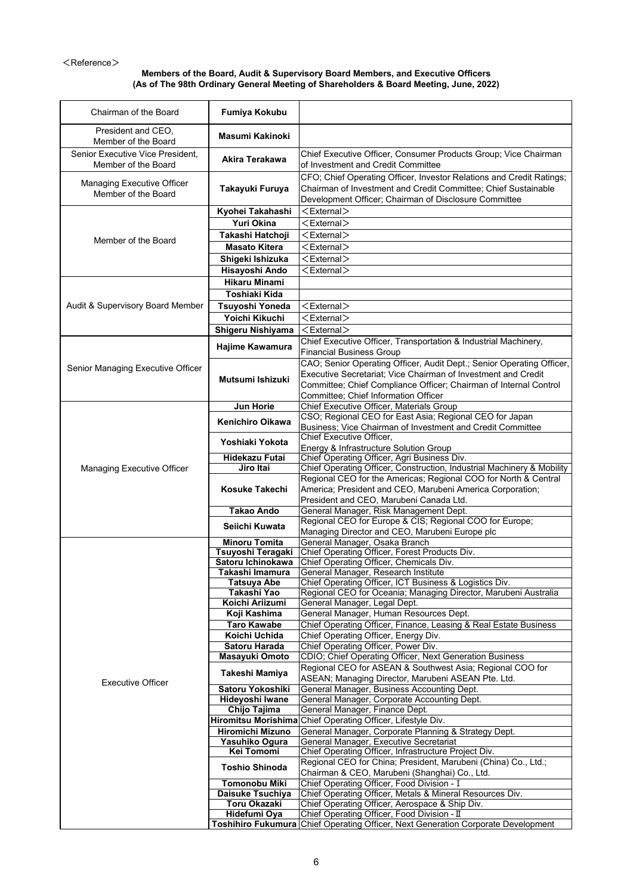#### $<$ Reference $>$

#### **Members of the Board, Audit & Supervisory Board Members, and Executive Officers (As of The 98th Ordinary General Meeting of Shareholders & Board Meeting, June, 2022)**

| Chairman of the Board             | Fumiya Kokubu              |                                                                                   |
|-----------------------------------|----------------------------|-----------------------------------------------------------------------------------|
|                                   |                            |                                                                                   |
| President and CEO,                | Masumi Kakinoki            |                                                                                   |
| Member of the Board               |                            |                                                                                   |
| Senior Executive Vice President,  |                            | Chief Executive Officer, Consumer Products Group; Vice Chairman                   |
|                                   | Akira Terakawa             |                                                                                   |
| Member of the Board               |                            | of Investment and Credit Committee                                                |
|                                   |                            | CFO; Chief Operating Officer, Investor Relations and Credit Ratings;              |
| <b>Managing Executive Officer</b> | Takayuki Furuya            | Chairman of Investment and Credit Committee; Chief Sustainable                    |
| Member of the Board               |                            | Development Officer; Chairman of Disclosure Committee                             |
|                                   |                            | $<$ External $>$                                                                  |
|                                   | Kyohei Takahashi           |                                                                                   |
|                                   | Yuri Okina                 | $<$ External $>$                                                                  |
|                                   | Takashi Hatchoji           | <external></external>                                                             |
| Member of the Board               | <b>Masato Kitera</b>       | <external></external>                                                             |
|                                   |                            |                                                                                   |
|                                   | Shigeki Ishizuka           | <external></external>                                                             |
|                                   | Hisayoshi Ando             | <external></external>                                                             |
|                                   | <b>Hikaru Minami</b>       |                                                                                   |
|                                   | Toshiaki Kida              |                                                                                   |
|                                   |                            |                                                                                   |
| Audit & Supervisory Board Member  | Tsuyoshi Yoneda            | $<$ External $>$                                                                  |
|                                   | Yoichi Kikuchi             | $<$ External $>$                                                                  |
|                                   | Shigeru Nishiyama          | <external></external>                                                             |
|                                   |                            | Chief Executive Officer, Transportation & Industrial Machinery,                   |
|                                   | Hajime Kawamura            | <b>Financial Business Group</b>                                                   |
|                                   |                            |                                                                                   |
| Senior Managing Executive Officer |                            | CAO; Senior Operating Officer, Audit Dept.; Senior Operating Officer,             |
|                                   | Mutsumi Ishizuki           | Executive Secretariat; Vice Chairman of Investment and Credit                     |
|                                   |                            | Committee; Chief Compliance Officer; Chairman of Internal Control                 |
|                                   |                            | Committee; Chief Information Officer                                              |
|                                   | <b>Jun Horie</b>           | Chief Executive Officer, Materials Group                                          |
|                                   |                            | CSO; Regional CEO for East Asia; Regional CEO for Japan                           |
|                                   | <b>Kenichiro Oikawa</b>    | Business; Vice Chairman of Investment and Credit Committee                        |
|                                   |                            | Chief Executive Officer,                                                          |
|                                   | Yoshiaki Yokota            |                                                                                   |
|                                   |                            | Energy & Infrastructure Solution Group                                            |
|                                   | <b>Hidekazu Futai</b>      | Chief Operating Officer, Agri Business Div.                                       |
| Managing Executive Officer        | Jiro Itai                  | Chief Operating Officer, Construction, Industrial Machinery & Mobility            |
|                                   |                            | Regional CEO for the Americas; Regional COO for North & Central                   |
|                                   | Kosuke Takechi             | America; President and CEO, Marubeni America Corporation;                         |
|                                   |                            | President and CEO, Marubeni Canada Ltd.                                           |
|                                   | <b>Takao Ando</b>          | General Manager, Risk Management Dept.                                            |
|                                   |                            | Regional CEO for Europe & CIS; Regional COO for Europe;                           |
|                                   | Seiichi Kuwata             | Managing Director and CEO, Marubeni Europe plc                                    |
|                                   | <b>Minoru Tomita</b>       | General Manager, Osaka Branch                                                     |
|                                   | Tsuyoshi Teragaki          | Chief Operating Officer, Forest Products Div.                                     |
|                                   |                            |                                                                                   |
|                                   | Satoru Ichinokawa          | Chief Operating Officer, Chemicals Div.                                           |
|                                   | Takashi Imamura            | General Manager, Research Institute                                               |
|                                   | <b>Tatsuya Abe</b>         | Chief Operating Officer, ICT Business & Logistics Div.                            |
|                                   | Takashi Yao                | Regional CEO for Oceania; Managing Director, Marubeni Australia                   |
|                                   | Koichi Ariizumi            | General Manager, Legal Dept.                                                      |
|                                   | Koji Kashima               | General Manager, Human Resources Dept.                                            |
|                                   | <b>Taro Kawabe</b>         | Chief Operating Officer, Finance, Leasing & Real Estate Business                  |
|                                   | Koichi Uchida              | Chief Operating Officer, Energy Div.                                              |
|                                   | Satoru Harada              | Chief Operating Officer, Power Div.                                               |
|                                   | Masayuki Omoto             | CDIO; Chief Operating Officer, Next Generation Business                           |
|                                   |                            | Regional CEO for ASEAN & Southwest Asia; Regional COO for                         |
|                                   | Takeshi Mamiya             |                                                                                   |
| <b>Executive Officer</b>          |                            | ASEAN; Managing Director, Marubeni ASEAN Pte. Ltd.                                |
|                                   | Satoru Yokoshiki           | General Manager, Business Accounting Dept.                                        |
|                                   | Hideyoshi Iwane            | General Manager, Corporate Accounting Dept.                                       |
|                                   | Chijo Tajima               | General Manager, Finance Dept.                                                    |
|                                   | <b>Hiromitsu Morishima</b> | Chief Operating Officer, Lifestyle Div.                                           |
|                                   | <b>Hiromichi Mizuno</b>    | General Manager, Corporate Planning & Strategy Dept.                              |
|                                   | Yasuhiko Ogura             | General Manager, Executive Secretariat                                            |
|                                   | Kei Tomomi                 | Chief Operating Officer, Infrastructure Project Div.                              |
|                                   |                            | Regional CEO for China; President, Marubeni (China) Co., Ltd.;                    |
|                                   | <b>Toshio Shinoda</b>      | Chairman & CEO, Marubeni (Shanghai) Co., Ltd.                                     |
|                                   | Tomonobu Miki              | Chief Operating Officer, Food Division - I                                        |
|                                   |                            |                                                                                   |
|                                   | Daisuke Tsuchiya           | Chief Operating Officer, Metals & Mineral Resources Div.                          |
|                                   | Toru Okazaki               | Chief Operating Officer, Aerospace & Ship Div.                                    |
|                                   | Hidefumi Oya               | Chief Operating Officer, Food Division - II                                       |
|                                   |                            | Toshihiro Fukumura Chief Operating Officer, Next Generation Corporate Development |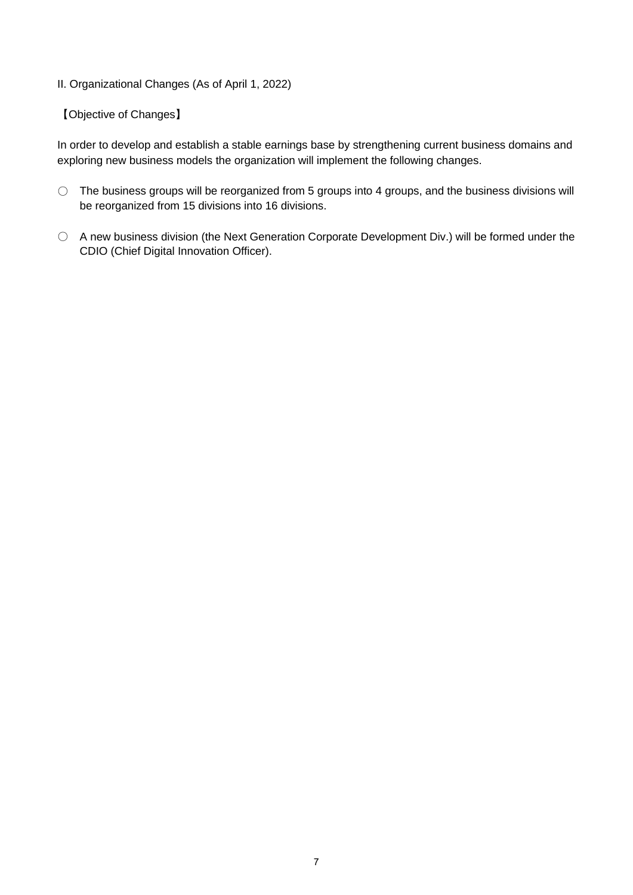# II. Organizational Changes (As of April 1, 2022)

# 【Objective of Changes】

In order to develop and establish a stable earnings base by strengthening current business domains and exploring new business models the organization will implement the following changes.

- The business groups will be reorganized from 5 groups into 4 groups, and the business divisions will be reorganized from 15 divisions into 16 divisions.
- A new business division (the Next Generation Corporate Development Div.) will be formed under the CDIO (Chief Digital Innovation Officer).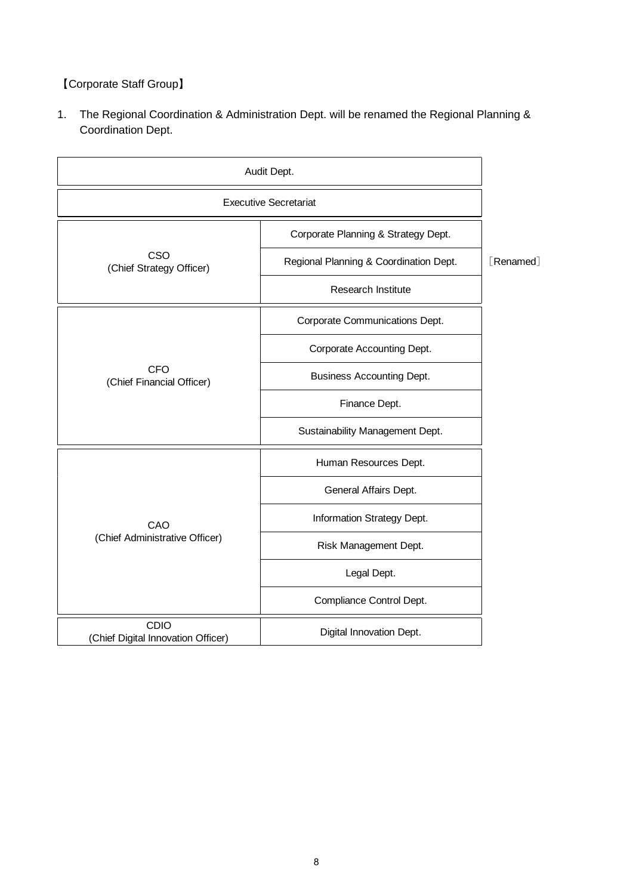【Corporate Staff Group】

1. The Regional Coordination & Administration Dept. will be renamed the Regional Planning & Coordination Dept.

| Audit Dept.                                |                                        |           |
|--------------------------------------------|----------------------------------------|-----------|
| <b>Executive Secretariat</b>               |                                        |           |
|                                            | Corporate Planning & Strategy Dept.    |           |
| CSO<br>(Chief Strategy Officer)            | Regional Planning & Coordination Dept. | [Renamed] |
|                                            | Research Institute                     |           |
|                                            | Corporate Communications Dept.         |           |
|                                            | Corporate Accounting Dept.             |           |
| <b>CFO</b><br>(Chief Financial Officer)    | <b>Business Accounting Dept.</b>       |           |
|                                            | Finance Dept.                          |           |
|                                            | Sustainability Management Dept.        |           |
|                                            | Human Resources Dept.                  |           |
|                                            | General Affairs Dept.                  |           |
| CAO                                        | Information Strategy Dept.             |           |
| (Chief Administrative Officer)             | Risk Management Dept.                  |           |
|                                            | Legal Dept.                            |           |
|                                            | Compliance Control Dept.               |           |
| CDIO<br>(Chief Digital Innovation Officer) | Digital Innovation Dept.               |           |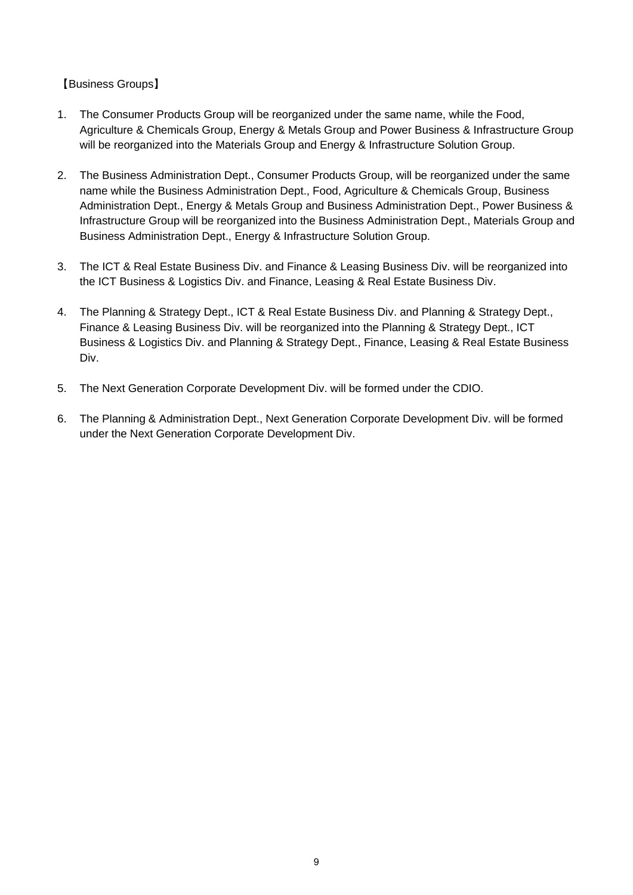【Business Groups】

- 1. The Consumer Products Group will be reorganized under the same name, while the Food, Agriculture & Chemicals Group, Energy & Metals Group and Power Business & Infrastructure Group will be reorganized into the Materials Group and Energy & Infrastructure Solution Group.
- 2. The Business Administration Dept., Consumer Products Group, will be reorganized under the same name while the Business Administration Dept., Food, Agriculture & Chemicals Group, Business Administration Dept., Energy & Metals Group and Business Administration Dept., Power Business & Infrastructure Group will be reorganized into the Business Administration Dept., Materials Group and Business Administration Dept., Energy & Infrastructure Solution Group.
- 3. The ICT & Real Estate Business Div. and Finance & Leasing Business Div. will be reorganized into the ICT Business & Logistics Div. and Finance, Leasing & Real Estate Business Div.
- 4. The Planning & Strategy Dept., ICT & Real Estate Business Div. and Planning & Strategy Dept., Finance & Leasing Business Div. will be reorganized into the Planning & Strategy Dept., ICT Business & Logistics Div. and Planning & Strategy Dept., Finance, Leasing & Real Estate Business Div.
- 5. The Next Generation Corporate Development Div. will be formed under the CDIO.
- 6. The Planning & Administration Dept., Next Generation Corporate Development Div. will be formed under the Next Generation Corporate Development Div.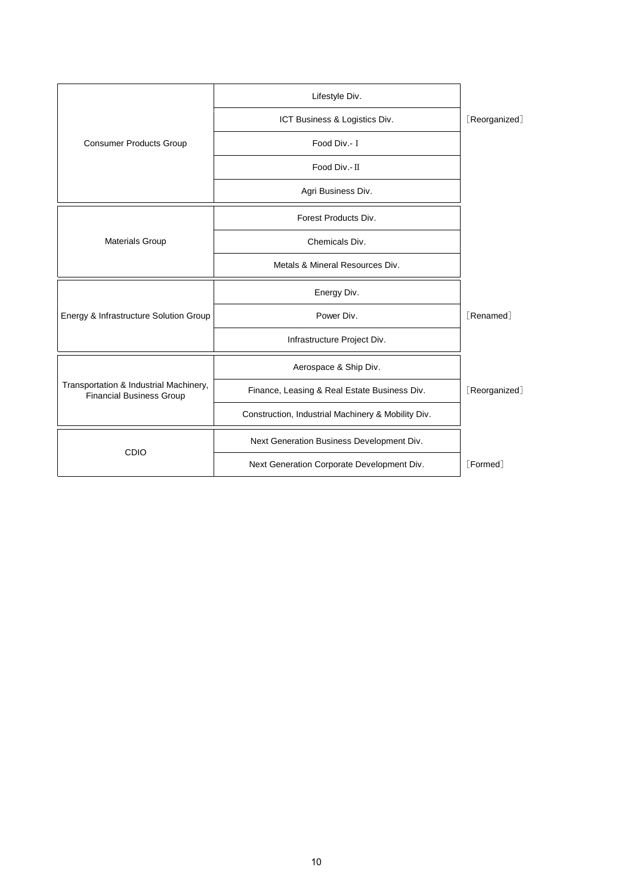|                                                                           | Lifestyle Div.                                     |                               |
|---------------------------------------------------------------------------|----------------------------------------------------|-------------------------------|
|                                                                           | ICT Business & Logistics Div.                      | [Reorganized]                 |
| <b>Consumer Products Group</b>                                            | Food Div.- I                                       |                               |
|                                                                           | Food Div. II                                       |                               |
|                                                                           | Agri Business Div.                                 |                               |
|                                                                           | Forest Products Div.                               |                               |
| <b>Materials Group</b>                                                    | Chemicals Div.                                     |                               |
|                                                                           | Metals & Mineral Resources Div.                    |                               |
|                                                                           | Energy Div.                                        |                               |
| Energy & Infrastructure Solution Group                                    | Power Div.                                         | <b>F</b> Renamed <sup>1</sup> |
|                                                                           | Infrastructure Project Div.                        |                               |
|                                                                           | Aerospace & Ship Div.                              |                               |
| Transportation & Industrial Machinery,<br><b>Financial Business Group</b> | Finance, Leasing & Real Estate Business Div.       | [Reorganized]                 |
|                                                                           | Construction, Industrial Machinery & Mobility Div. |                               |
|                                                                           | Next Generation Business Development Div.          |                               |
| CDIO                                                                      | Next Generation Corporate Development Div.         | [Formed]                      |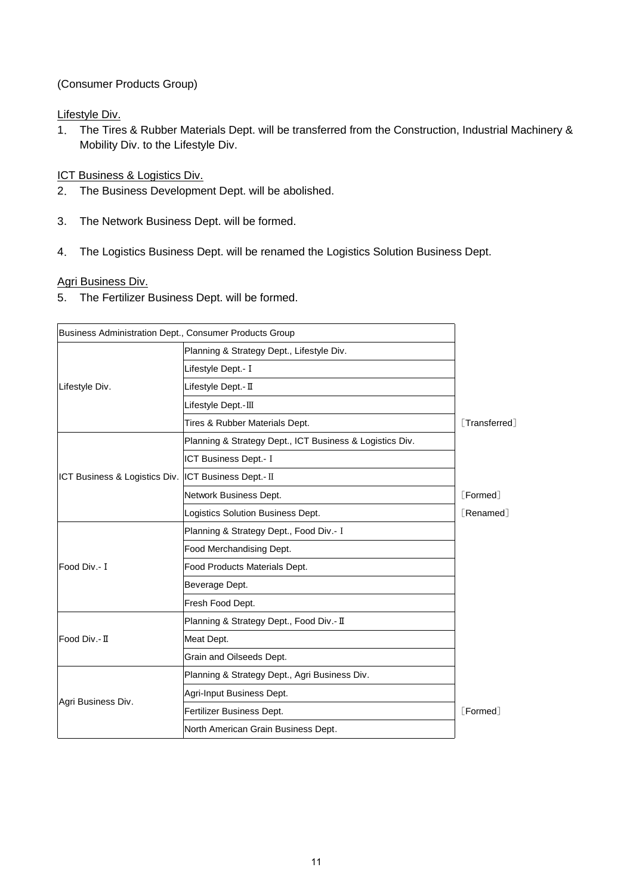(Consumer Products Group)

Lifestyle Div.

1. The Tires & Rubber Materials Dept. will be transferred from the Construction, Industrial Machinery & Mobility Div. to the Lifestyle Div.

# **ICT Business & Logistics Div.**

- 2. The Business Development Dept. will be abolished.
- 3. The Network Business Dept. will be formed.
- 4. The Logistics Business Dept. will be renamed the Logistics Solution Business Dept.

### Agri Business Div.

5. The Fertilizer Business Dept. will be formed.

| Business Administration Dept., Consumer Products Group   |                    |
|----------------------------------------------------------|--------------------|
| Planning & Strategy Dept., Lifestyle Div.                |                    |
| Lifestyle Dept.- I                                       |                    |
| Lifestyle Dept.- II                                      |                    |
| Lifestyle Dept.-III                                      |                    |
| Tires & Rubber Materials Dept.                           | <b>Transferred</b> |
| Planning & Strategy Dept., ICT Business & Logistics Div. |                    |
| ICT Business Dept.- I                                    |                    |
| ICT Business & Logistics Div.  ICT Business Dept.- II    |                    |
| Network Business Dept.                                   | [Formed]           |
| Logistics Solution Business Dept.                        | <b>[Renamed]</b>   |
| Planning & Strategy Dept., Food Div.- I                  |                    |
| Food Merchandising Dept.                                 |                    |
| Food Products Materials Dept.                            |                    |
| Beverage Dept.                                           |                    |
| Fresh Food Dept.                                         |                    |
| Planning & Strategy Dept., Food Div.- II                 |                    |
| Meat Dept.                                               |                    |
| Grain and Oilseeds Dept.                                 |                    |
| Planning & Strategy Dept., Agri Business Div.            |                    |
| Agri-Input Business Dept.                                |                    |
| Fertilizer Business Dept.                                | [Formed]           |
| North American Grain Business Dept.                      |                    |
|                                                          |                    |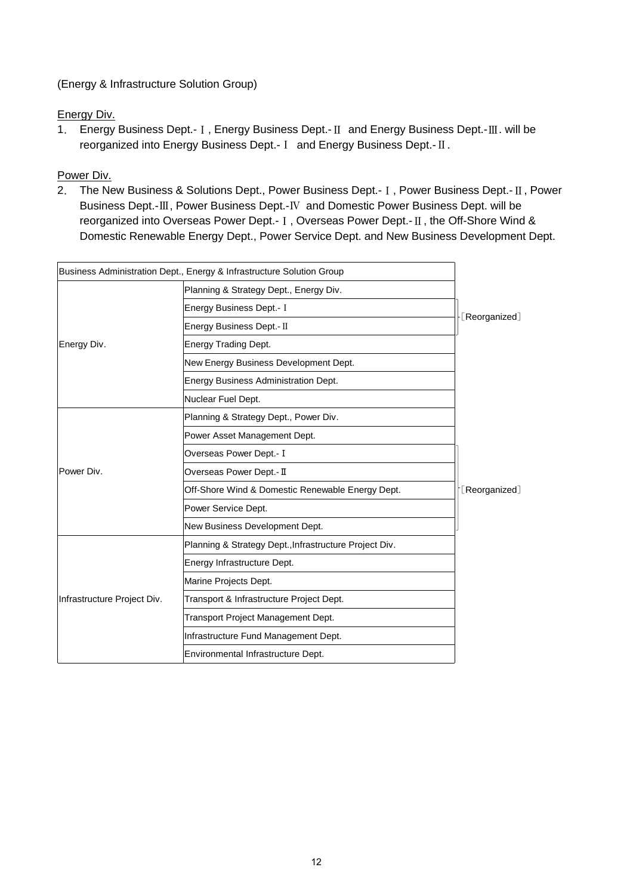(Energy & Infrastructure Solution Group)

Energy Div.

1. Energy Business Dept.-Ⅰ, Energy Business Dept.-Ⅱ and Energy Business Dept.-Ⅲ. will be reorganized into Energy Business Dept.-Ⅰ and Energy Business Dept.-Ⅱ.

Power Div.

2. The New Business & Solutions Dept., Power Business Dept.-Ⅰ, Power Business Dept.-Ⅱ, Power Business Dept.-Ⅲ, Power Business Dept.-Ⅳ and Domestic Power Business Dept. will be reorganized into Overseas Power Dept.-Ⅰ, Overseas Power Dept.-Ⅱ, the Off-Shore Wind & Domestic Renewable Energy Dept., Power Service Dept. and New Business Development Dept.

|                             | Business Administration Dept., Energy & Infrastructure Solution Group |               |
|-----------------------------|-----------------------------------------------------------------------|---------------|
|                             | Planning & Strategy Dept., Energy Div.                                |               |
|                             | Energy Business Dept.- I                                              |               |
|                             | Energy Business Dept.- II                                             | [Reorganized] |
| Energy Div.                 | Energy Trading Dept.                                                  |               |
|                             | New Energy Business Development Dept.                                 |               |
|                             | Energy Business Administration Dept.                                  |               |
|                             | Nuclear Fuel Dept.                                                    |               |
|                             | Planning & Strategy Dept., Power Div.                                 |               |
|                             | Power Asset Management Dept.                                          |               |
|                             | Overseas Power Dept.- I                                               |               |
| Power Div.                  | Overseas Power Dept.- II                                              |               |
|                             | Off-Shore Wind & Domestic Renewable Energy Dept.                      | [Reorganized] |
|                             | Power Service Dept.                                                   |               |
|                             | New Business Development Dept.                                        |               |
|                             | Planning & Strategy Dept., Infrastructure Project Div.                |               |
|                             | Energy Infrastructure Dept.                                           |               |
|                             | Marine Projects Dept.                                                 |               |
| Infrastructure Project Div. | Transport & Infrastructure Project Dept.                              |               |
|                             | Transport Project Management Dept.                                    |               |
|                             | Infrastructure Fund Management Dept.                                  |               |
|                             | Environmental Infrastructure Dept.                                    |               |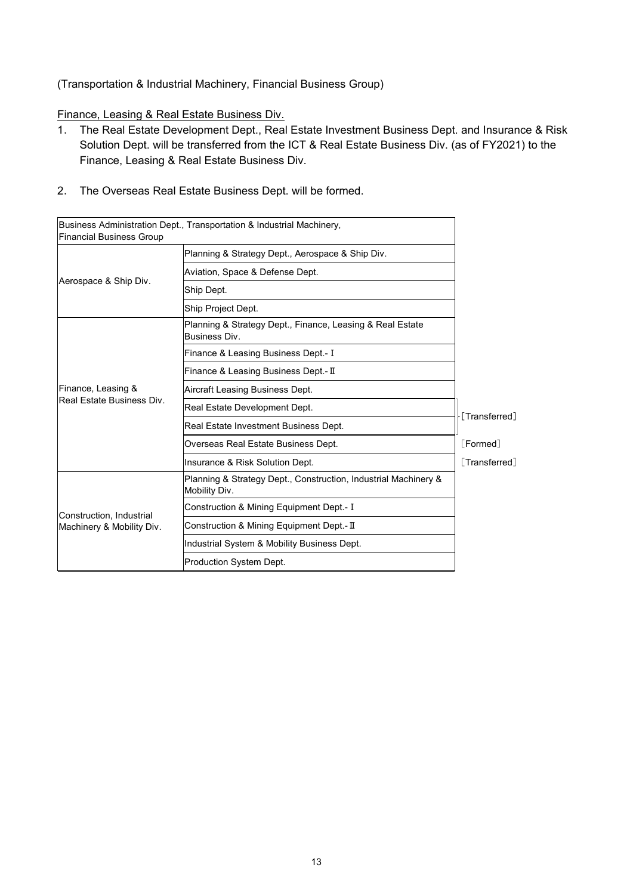# (Transportation & Industrial Machinery, Financial Business Group)

Finance, Leasing & Real Estate Business Div.

- 1. The Real Estate Development Dept., Real Estate Investment Business Dept. and Insurance & Risk Solution Dept. will be transferred from the ICT & Real Estate Business Div. (as of FY2021) to the Finance, Leasing & Real Estate Business Div.
- 2. The Overseas Real Estate Business Dept. will be formed.

| <b>Financial Business Group</b>                       | Business Administration Dept., Transportation & Industrial Machinery,            |                    |
|-------------------------------------------------------|----------------------------------------------------------------------------------|--------------------|
| Aerospace & Ship Div.                                 | Planning & Strategy Dept., Aerospace & Ship Div.                                 |                    |
|                                                       | Aviation, Space & Defense Dept.                                                  |                    |
|                                                       | Ship Dept.                                                                       |                    |
|                                                       | Ship Project Dept.                                                               |                    |
| Finance, Leasing &<br>Real Estate Business Div.       | Planning & Strategy Dept., Finance, Leasing & Real Estate<br>Business Div.       |                    |
|                                                       | Finance & Leasing Business Dept.- I                                              |                    |
|                                                       | Finance & Leasing Business Dept.- II                                             |                    |
|                                                       | Aircraft Leasing Business Dept.                                                  |                    |
|                                                       | Real Estate Development Dept.                                                    | [Transferred]      |
|                                                       | Real Estate Investment Business Dept.                                            |                    |
|                                                       | Overseas Real Estate Business Dept.                                              | [Formed]           |
|                                                       | Insurance & Risk Solution Dept.                                                  | <b>Transferred</b> |
| Construction. Industrial<br>Machinery & Mobility Div. | Planning & Strategy Dept., Construction, Industrial Machinery &<br>Mobility Div. |                    |
|                                                       | Construction & Mining Equipment Dept.- I                                         |                    |
|                                                       | Construction & Mining Equipment Dept.- II                                        |                    |
|                                                       | Industrial System & Mobility Business Dept.                                      |                    |
|                                                       | Production System Dept.                                                          |                    |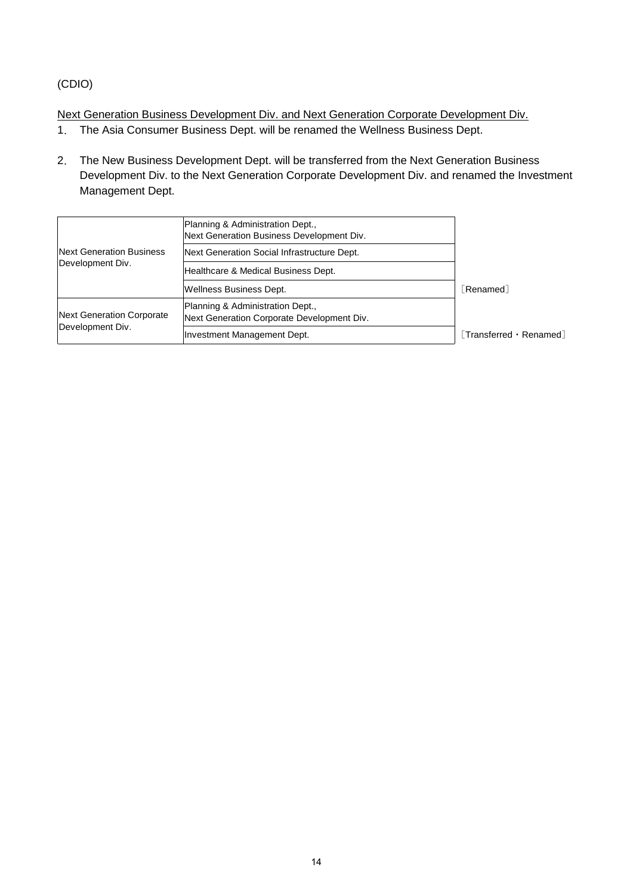# (CDIO)

Next Generation Business Development Div. and Next Generation Corporate Development Div.

- 1. The Asia Consumer Business Dept. will be renamed the Wellness Business Dept.
- 2. The New Business Development Dept. will be transferred from the Next Generation Business Development Div. to the Next Generation Corporate Development Div. and renamed the Investment Management Dept.

| Next Generation Business<br>Development Div.  | Planning & Administration Dept.,<br>Next Generation Business Development Div.  |                                               |
|-----------------------------------------------|--------------------------------------------------------------------------------|-----------------------------------------------|
|                                               | Next Generation Social Infrastructure Dept.                                    |                                               |
|                                               | Healthcare & Medical Business Dept.                                            |                                               |
|                                               | Wellness Business Dept.                                                        | <b>Renamed</b>                                |
| Next Generation Corporate<br>Development Div. | Planning & Administration Dept.,<br>Next Generation Corporate Development Div. |                                               |
|                                               | Investment Management Dept.                                                    | $\lceil$ Transferred $\cdot$ Renamed $\rceil$ |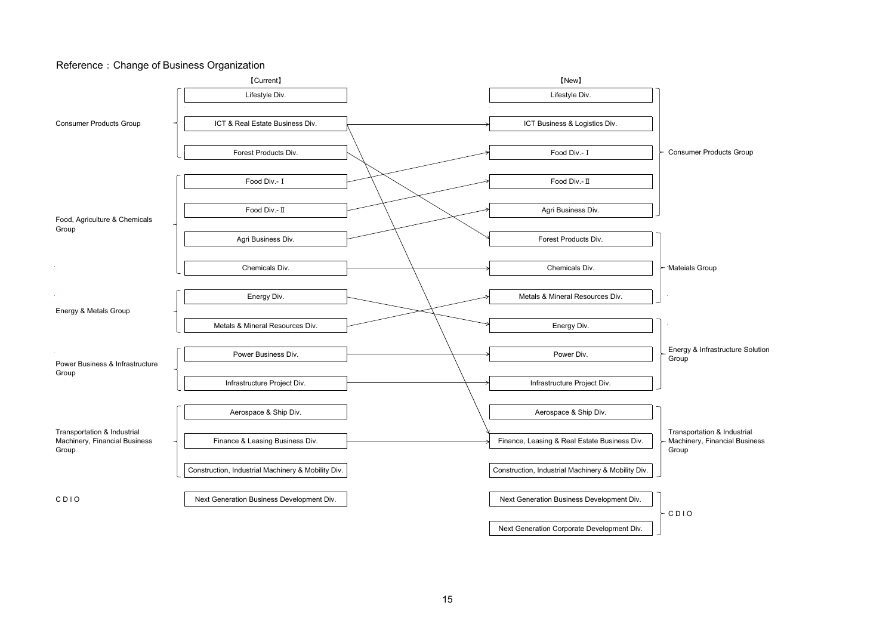#### Reference: Change of Business Organization